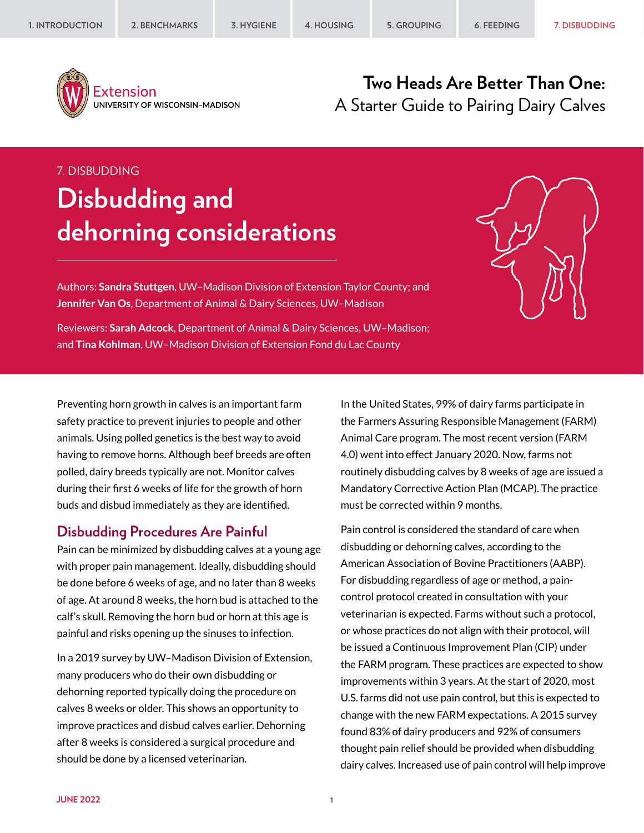

Extension UNIVERSITY OF WISCONSIN-MADISON

# **Two Heads Are Better Than One:** A Starter Guide to Pairing Dairy Calves

#### 7. DISBUDDING

# **Disbudding and dehorning considerations**

Authors: **Sandra Stuttgen**, UW–Madison Division of Extension Taylor County; and **Jennifer Van Os**, Department of Animal & Dairy Sciences, UW–Madison

Reviewers: **Sarah Adcock**, Department of Animal & Dairy Sciences, UW–Madison; and **Tina Kohlman**, UW–Madison Division of Extension Fond du Lac County

Preventing horn growth in calves is an important farm safety practice to prevent injuries to people and other animals. Using polled genetics is the best way to avoid having to remove horns. Although beef breeds are often polled, dairy breeds typically are not. Monitor calves during their first 6 weeks of life for the growth of horn buds and disbud immediately as they are identified.

#### **Disbudding Procedures Are Painful**

Pain can be minimized by disbudding calves at a young age with proper pain management. Ideally, disbudding should be done before 6 weeks of age, and no later than 8 weeks of age. At around 8 weeks, the horn bud is attached to the calf's skull. Removing the horn bud or horn at this age is painful and risks opening up the sinuses to infection.

In a 2019 survey by UW–Madison Division of Extension, many producers who do their own disbudding or dehorning reported typically doing the procedure on calves 8 weeks or older. This shows an opportunity to improve practices and disbud calves earlier. Dehorning after 8 weeks is considered a surgical procedure and should be done by a licensed veterinarian.

In the United States, 99% of dairy farms participate in the Farmers Assuring Responsible Management (FARM) Animal Care program. The most recent version (FARM 4.0) went into effect January 2020. Now, farms not routinely disbudding calves by 8 weeks of age are issued a Mandatory Corrective Action Plan (MCAP). The practice must be corrected within 9 months.

Pain control is considered the standard of care when disbudding or dehorning calves, according to the American Association of Bovine Practitioners (AABP). For disbudding regardless of age or method, a paincontrol protocol created in consultation with your veterinarian is expected. Farms without such a protocol, or whose practices do not align with their protocol, will be issued a Continuous Improvement Plan (CIP) under the FARM program. These practices are expected to show improvements within 3 years. At the start of 2020, most U.S. farms did not use pain control, but this is expected to change with the new FARM expectations. A 2015 survey found 83% of dairy producers and 92% of consumers thought pain relief should be provided when disbudding dairy calves. Increased use of pain control will help improve

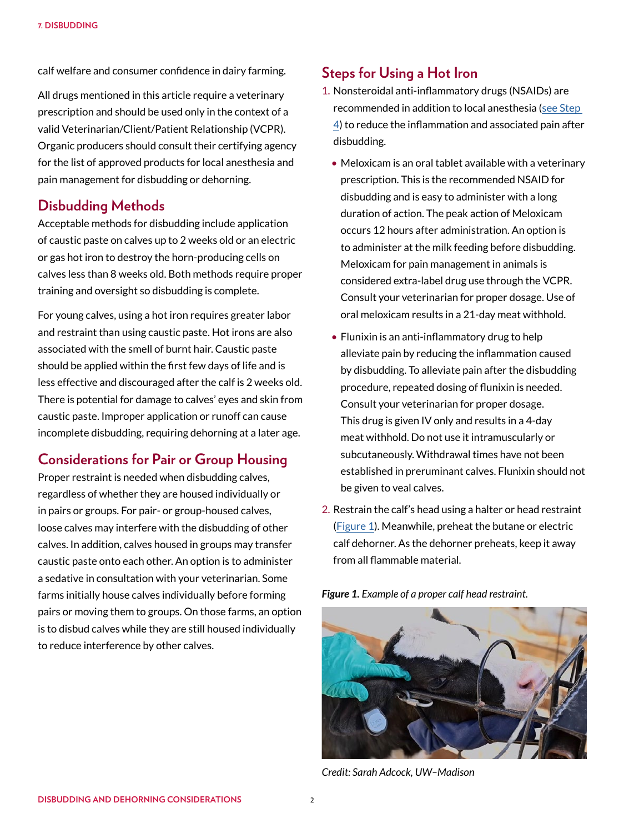calf welfare and consumer confidence in dairy farming.

All drugs mentioned in this article require a veterinary prescription and should be used only in the context of a valid Veterinarian/Client/Patient Relationship (VCPR). Organic producers should consult their certifying agency for the list of approved products for local anesthesia and pain management for disbudding or dehorning.

#### **Disbudding Methods**

Acceptable methods for disbudding include application of caustic paste on calves up to 2 weeks old or an electric or gas hot iron to destroy the horn-producing cells on calves less than 8 weeks old. Both methods require proper training and oversight so disbudding is complete.

For young calves, using a hot iron requires greater labor and restraint than using caustic paste. Hot irons are also associated with the smell of burnt hair. Caustic paste should be applied within the first few days of life and is less effective and discouraged after the calf is 2 weeks old. There is potential for damage to calves' eyes and skin from caustic paste. Improper application or runoff can cause incomplete disbudding, requiring dehorning at a later age.

### **Considerations for Pair or Group Housing**

Proper restraint is needed when disbudding calves, regardless of whether they are housed individually or in pairs or groups. For pair- or group-housed calves, loose calves may interfere with the disbudding of other calves. In addition, calves housed in groups may transfer caustic paste onto each other. An option is to administer a sedative in consultation with your veterinarian. Some farms initially house calves individually before forming pairs or moving them to groups. On those farms, an option is to disbud calves while they are still housed individually to reduce interference by other calves.

## **Steps for Using a Hot Iron**

- <span id="page-1-1"></span>1. Nonsteroidal anti-inflammatory drugs (NSAIDs) are recommended in addition to local anesthesia [\(see Step](#page-2-0)  [4](#page-2-0)) to reduce the inflammation and associated pain after disbudding.
	- Meloxicam is an oral tablet available with a veterinary prescription. This is the recommended NSAID for disbudding and is easy to administer with a long duration of action. The peak action of Meloxicam occurs 12 hours after administration. An option is to administer at the milk feeding before disbudding. Meloxicam for pain management in animals is considered extra-label drug use through the VCPR. Consult your veterinarian for proper dosage. Use of oral meloxicam results in a 21-day meat withhold.
	- Flunixin is an anti-inflammatory drug to help alleviate pain by reducing the inflammation caused by disbudding. To alleviate pain after the disbudding procedure, repeated dosing of flunixin is needed. Consult your veterinarian for proper dosage. This drug is given IV only and results in a 4-day meat withhold. Do not use it intramuscularly or subcutaneously. Withdrawal times have not been established in preruminant calves. Flunixin should not be given to veal calves.
- 2. Restrain the calf's head using a halter or head restraint ([Figure 1\)](#page-1-0). Meanwhile, preheat the butane or electric calf dehorner. As the dehorner preheats, keep it away from all flammable material.



*Credit: Sarah Adcock, UW–Madison*

<span id="page-1-0"></span>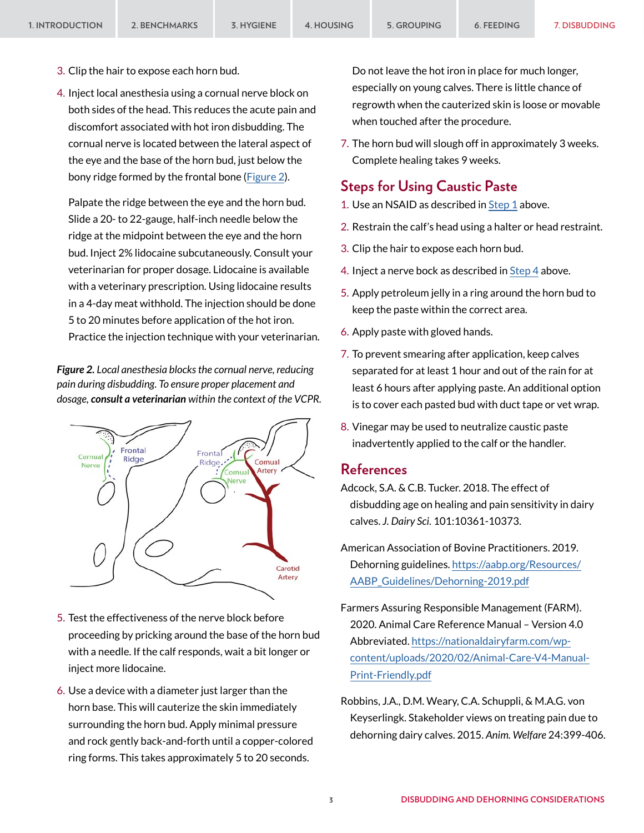- 3. Clip the hair to expose each horn bud.
- <span id="page-2-0"></span>4. Inject local anesthesia using a cornual nerve block on both sides of the head. This reduces the acute pain and discomfort associated with hot iron disbudding. The cornual nerve is located between the lateral aspect of the eye and the base of the horn bud, just below the bony ridge formed by the frontal bone ([Figure 2\)](#page-2-1).

Palpate the ridge between the eye and the horn bud. Slide a 20- to 22-gauge, half-inch needle below the ridge at the midpoint between the eye and the horn bud. Inject 2% lidocaine subcutaneously. Consult your veterinarian for proper dosage. Lidocaine is available with a veterinary prescription. Using lidocaine results in a 4-day meat withhold. The injection should be done 5 to 20 minutes before application of the hot iron. Practice the injection technique with your veterinarian.

<span id="page-2-1"></span>*Figure 2. Local anesthesia blocks the cornual nerve, reducing pain during disbudding. To ensure proper placement and dosage, consult a veterinarian within the context of the VCPR.*



- 5. Test the effectiveness of the nerve block before proceeding by pricking around the base of the horn bud with a needle. If the calf responds, wait a bit longer or inject more lidocaine.
- 6. Use a device with a diameter just larger than the horn base. This will cauterize the skin immediately surrounding the horn bud. Apply minimal pressure and rock gently back-and-forth until a copper-colored ring forms. This takes approximately 5 to 20 seconds.

Do not leave the hot iron in place for much longer, especially on young calves. There is little chance of regrowth when the cauterized skin is loose or movable when touched after the procedure.

7. The horn bud will slough off in approximately 3 weeks. Complete healing takes 9 weeks.

#### **Steps for Using Caustic Paste**

- 1. Use an NSAID as described in [Step 1](#page-1-1) above.
- 2. Restrain the calf's head using a halter or head restraint.
- 3. Clip the hair to expose each horn bud.
- 4. Inject a nerve bock as described in [Step 4](#page-2-0) above.
- 5. Apply petroleum jelly in a ring around the horn bud to keep the paste within the correct area.
- 6. Apply paste with gloved hands.
- 7. To prevent smearing after application, keep calves separated for at least 1 hour and out of the rain for at least 6 hours after applying paste. An additional option is to cover each pasted bud with duct tape or vet wrap.
- 8. Vinegar may be used to neutralize caustic paste inadvertently applied to the calf or the handler.

#### **References**

- Adcock, S.A. & C.B. Tucker. 2018. The effect of disbudding age on healing and pain sensitivity in dairy calves. *J. Dairy Sci.* 101:10361-10373.
- American Association of Bovine Practitioners. 2019. Dehorning guidelines. [https://aabp.org/Resources/](https://aabp.org/Resources/AABP_Guidelines/Dehorning-2019.pdf) [AABP\\_Guidelines/Dehorning-2019.pdf](https://aabp.org/Resources/AABP_Guidelines/Dehorning-2019.pdf)
- Farmers Assuring Responsible Management (FARM). 2020. Animal Care Reference Manual – Version 4.0 Abbreviated. [https://nationaldairyfarm.com/wp](https://nationaldairyfarm.com/wp-content/uploads/2020/02/Animal-Care-V4-Manual-Print-Friendly.pdf)[content/uploads/2020/02/Animal-Care-V4-Manual-](https://nationaldairyfarm.com/wp-content/uploads/2020/02/Animal-Care-V4-Manual-Print-Friendly.pdf)[Print-Friendly.pdf](https://nationaldairyfarm.com/wp-content/uploads/2020/02/Animal-Care-V4-Manual-Print-Friendly.pdf)
- Robbins, J.A., D.M. Weary, C.A. Schuppli, & M.A.G. von Keyserlingk. Stakeholder views on treating pain due to dehorning dairy calves. 2015. *Anim. Welfare* 24:399-406.